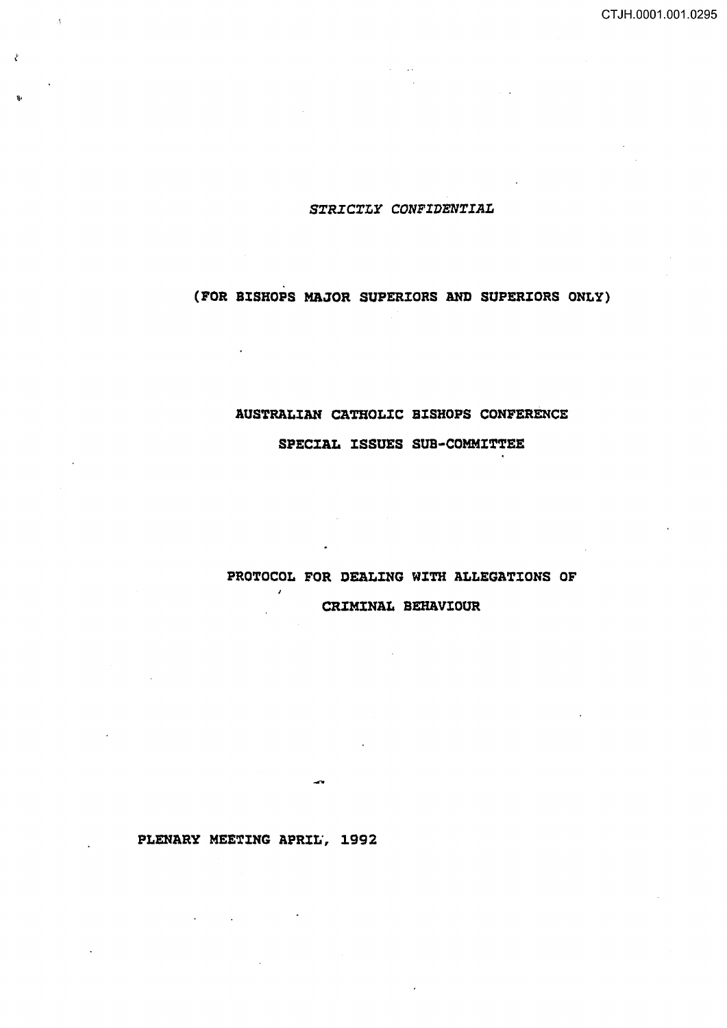# *SXRICXLY CONFIDENXIAL*

# (FOR BISHOPS MAJOR SUPERIORS AND SUPERIORS ONLY)

# AUSTRALIAN CATHOLIC BISHOPS CONFERENCE SPECIAL ISSUES SUB-COMMITTEE

PROTOCOL FOR DEALING WITH ALLEGATIONS OF  $\mathcal{L}$ CRIMINAL BEHAVIOUR

 $\ddot{\phantom{a}}$ 

 $\sim$ 

 $\ddot{\phantom{a}}$ 

 $\bar{\Lambda}$ 

Ż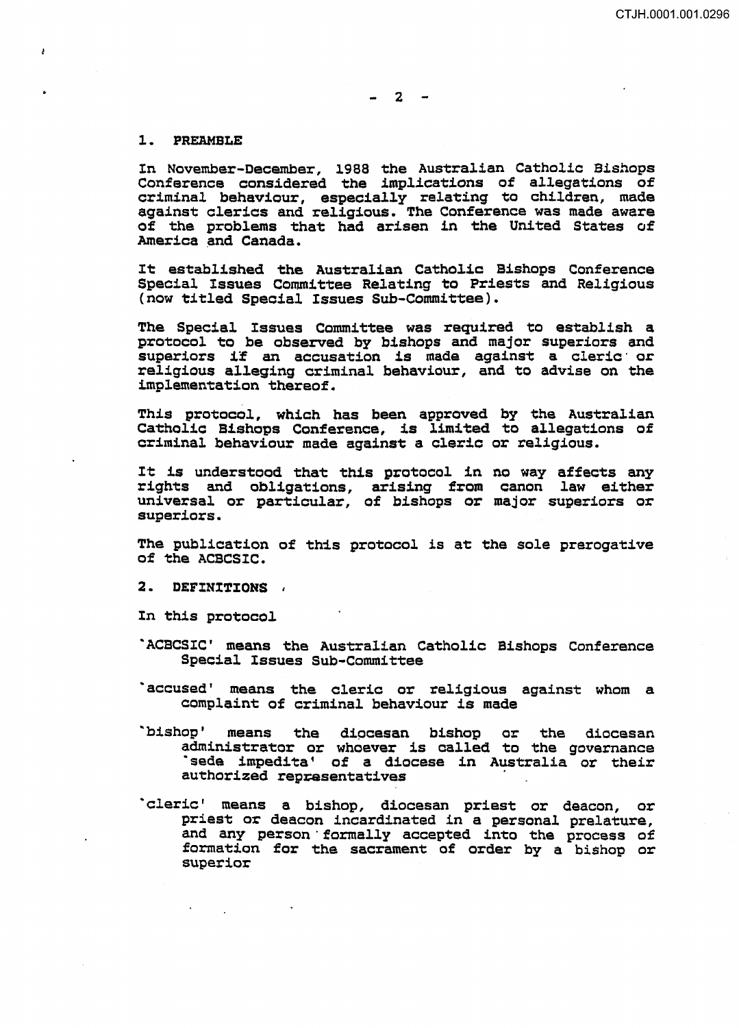#### 1. PREAMBLE

į

In November-December, 1988 the Australian Catholic Bishops Conference cons.idered the implications of allegations of criminal behaviour, especially relating to children, made against clerics and religious. The Conference was made aware of the problems that had arisen in the United States of America and Canada.

It established the Australian Catholic Bishops Conference Special Issues Committee Relating to Priests and Religious (now titled Special Issues Sub-Committee}.

The Special Issues Committee was required to establish a protocol to be observed by bishops and major superiors and protocol to be observed by bishops and major superiors and<br>superiors if an accusation is made against a cleric or religious alleging criminal behaviour, and to advise on the implementation thereof.

This protocol, which has been approved by the Australian Catholic Bishops Conference, is limited to allegations of criminal behaviour made against a cleric or religious.

It is understood that this protocol in rights and obligations, arising from universal or particular, of bishops or major superiors or superiors. no way affects any canon law either

The publication of this protocol is at the sole prerogative of the ACBCSIC.

2. DEFINITIONS .

In this protocol

- · ACBCSIC' means the Australian Catholic Bishops Conference Special Issues Sub-Committee
- ·accused' means the cleric or religious against whom a complaint of criminal behaviour is made
- "bishop ' means the dipcesan bishop or the diocesan administrator or whoever is called to the governance<br>'sede impedita' of a diocese in Australia or their authorized representatives
- ·cleric' means a bishop, diocesan priest or deacon, or priest or deacon incardinated in a personal prelature, and any person formally accepted into the process of formation for the sacrament of order by a bishop or superior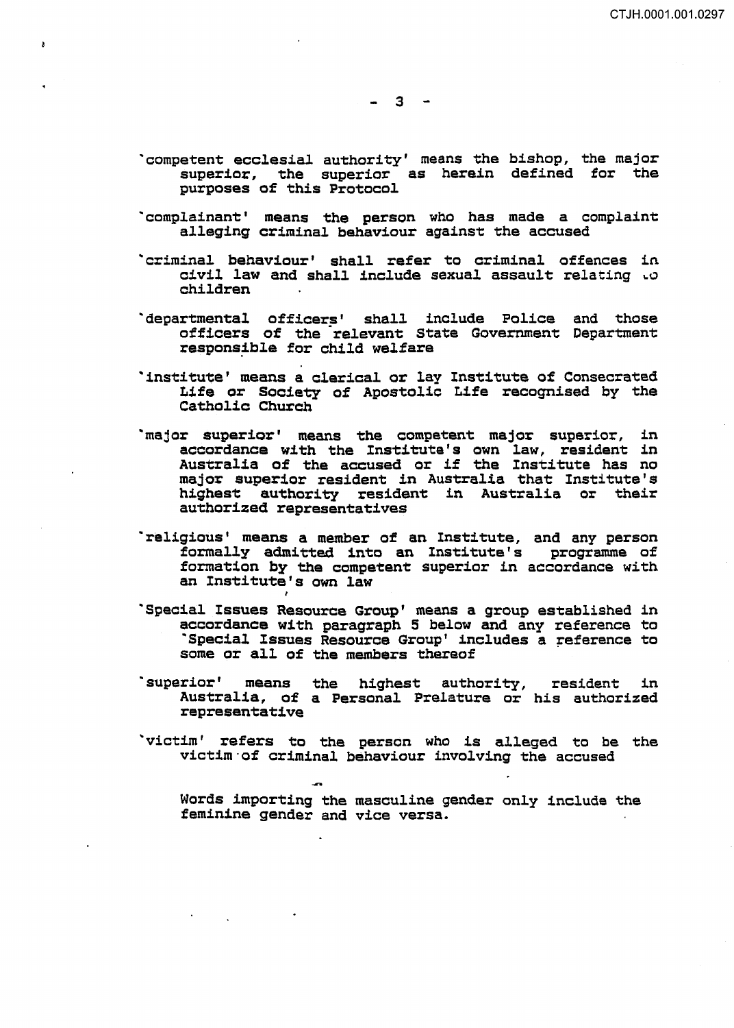$-3 -$ 

- ·competent ecclesial authority' means the bishop, the major superior, the superior as herein defined for the purposes of this Protocol
- ·complainant' means the person who has made a complaint alleging criminal behaviour against the accused
- 'criminal behaviour' shall refer to criminal offences in civil law and shall include sexual assault relating  $\omega$ children
- `departmental officers' shall include Police and those officers of the relevant State Government Department responsible for child welfare
- ·institute' means a clerical or lay Institute of Consecrated Life or Society of Apostolic Life recognised by the Catholic Church
- 'major superior' means the competent major superior, in accordance with the Institute's own law, resident in Australia of the accused or if the Institute has no major superior resident in Australia that Institute's highest authority resident in Australia or their authorized representatives
- ·religious' means a member of an Institute, and any person formally admitted into an Institute's programme of formation by the competent superior in accordance with an Institute's own law
- ·special Issues Resource Group' means a group established in accordance with paragraph 5 below and any reference to ·special Issues Resource Group' includes a reference to some or all of the members thereof
- ·superior' means the highest authority, Australia, of a Personal Prelature or representative resident in his authorized
- ·victim' refers to the person who is alleged to be the victim·of criminal behaviour involving the accused

Words importing the masculine gender only include the feminine gender and vice versa.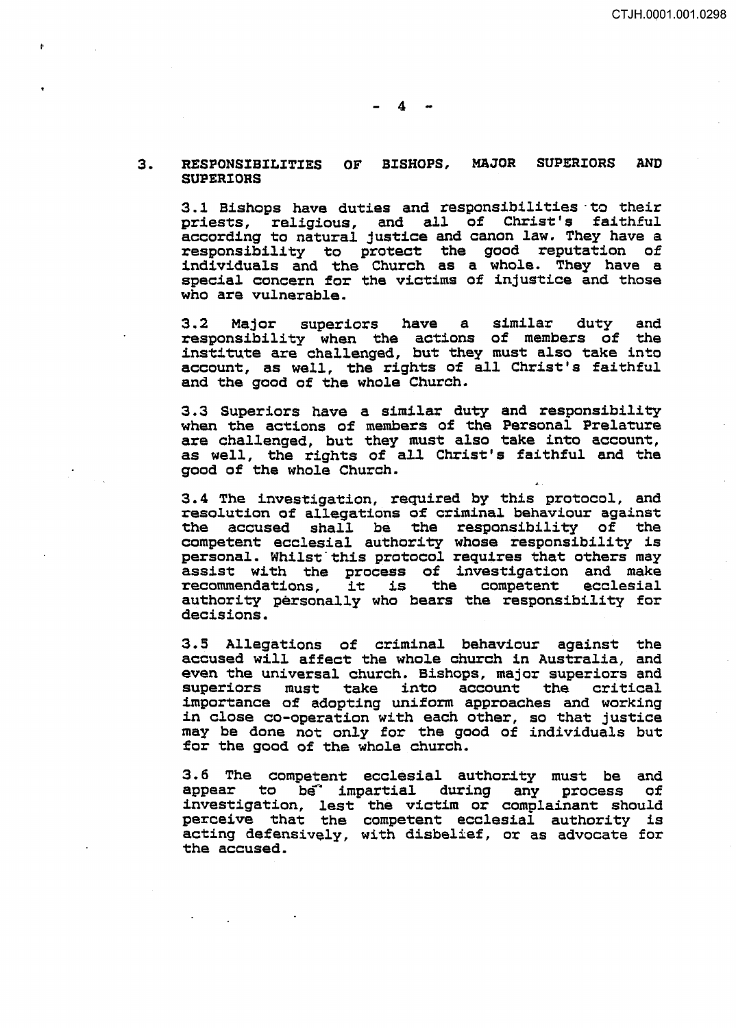#### 3. RESPONSIBILITIES OF BISHOPS, MAJOR SUPERIORS AND SUPERIORS

3.1 Bishops have duties and responsibilities to their<br>priests, religious, and all of Christ's faithful priests, religious, and all of Christ's according to natural justice and canon law. They have a responsibility to protect the good reputation of individuals and the Church as a whole. They have a special concern for the victims of injustice and those who are vulnerable.

3.2 Major superiors have a similar duty and responsibility when the actions of members of the institute are challenged, but they must also take into account, as well, the rights of all Christ's faithful and the good of the whole Church.

3. 3 Superiors have a similar duty and responsibility when the actions of members of the Personal Prelature are challenged, but they must also take into account, as well, the rights of all Christ's faithful and the good of the whole Church.

3.4 The investigation, required by this protocol, and resolution of allegations o£ criminal behaviour against the accused shall be the responsibility of the competent ecclesial authority whose responsibility is personal. Whilst"this protocol requires that others may assist with the process of investigation and make assist with the process of investigation and make<br>recommendations, it is the competent ecclesial recommendations, it is the competent ecclesial<br>authority personally who bears the responsibility for decisions.

3.5 Allegations of criminal behaviour against the accused will affect the whole church in Australia, and even the universal church. Bishops, major superiors and superiors must take into account the critical take into account the critical importance of adopting uniform approaches and working in close co-operation with each other, so that justice may be done not only for the good of individuals but for the good of the whole church.

3.6 The competent ecclesial authority must be and<br>appear to be impartial during any process of appear to be<sup>a</sup> impartial during any process investigation, lest the victim or complainant should perceive that the competent ecclesial authority is acting defensively, with disbelief, or as advocate for the accused.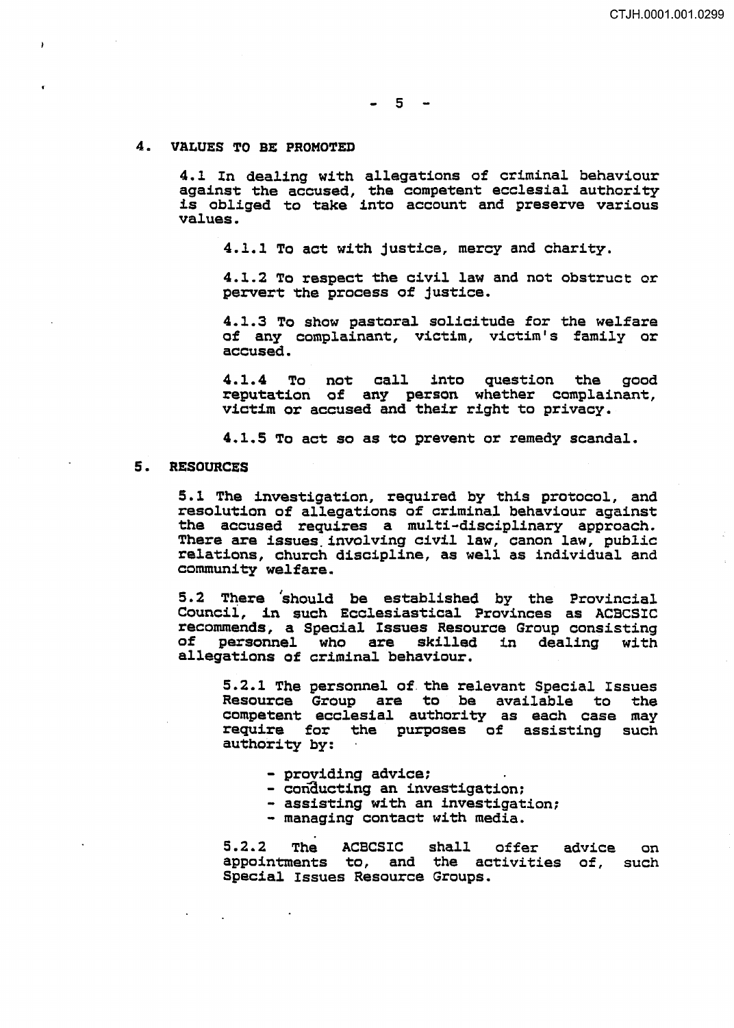$-5 -$ 

#### 4. VALUES TO BE PROMOTED

 $\mathbf{r}$ 

4.1 In dealing with allegations of criminal behaviour against the accused, the competent ecclesial authority is obliged to take into account and preserve various values.

4.1.1 To act with justice, mercy and charity.

4.1.2 To respect the civil law and not obstruct or pervert the process of justice.

4.1.3 To show pastoral solicitude for the welfare of any complainant, victim, victim's family or accused.

4 .1. 4 To not call into question the good reputation of any person whether complainant, victim or accused and their right to privacy.

4.1.5 To act so as to prevent or remedy scandal.

## 5. RESOURCES

5.1 The investigation, required by this protocol, and resolution of allegations of criminal behaviour against the accused requires a multi-disciplinary approach. There are issues involving civil law, canon law, public<br>relations, church discipline, as well as individual and community welfare.

5.2 There should be established by the Provincial Council, in such Ecclesiastical Provinces as ACBCSIC recommends, a Special Issues Resource Group consisting of personnel who are skilled allegations of criminal behaviour.

5.2.1 The personnel of. the relevant Special Issues Resource Group are to be available to competent ecclesial authority as each case may require for the purposes of assisting such authority by:

- 
- 
- providing advice;<br>- conducting an investigation;<br>- assisting with an investigation;<br>- managing contact with media.
- 

5.2.2 The ACBCSIC shall offer advice on appointments to, and the activities of, such Special Issues Resource Groups.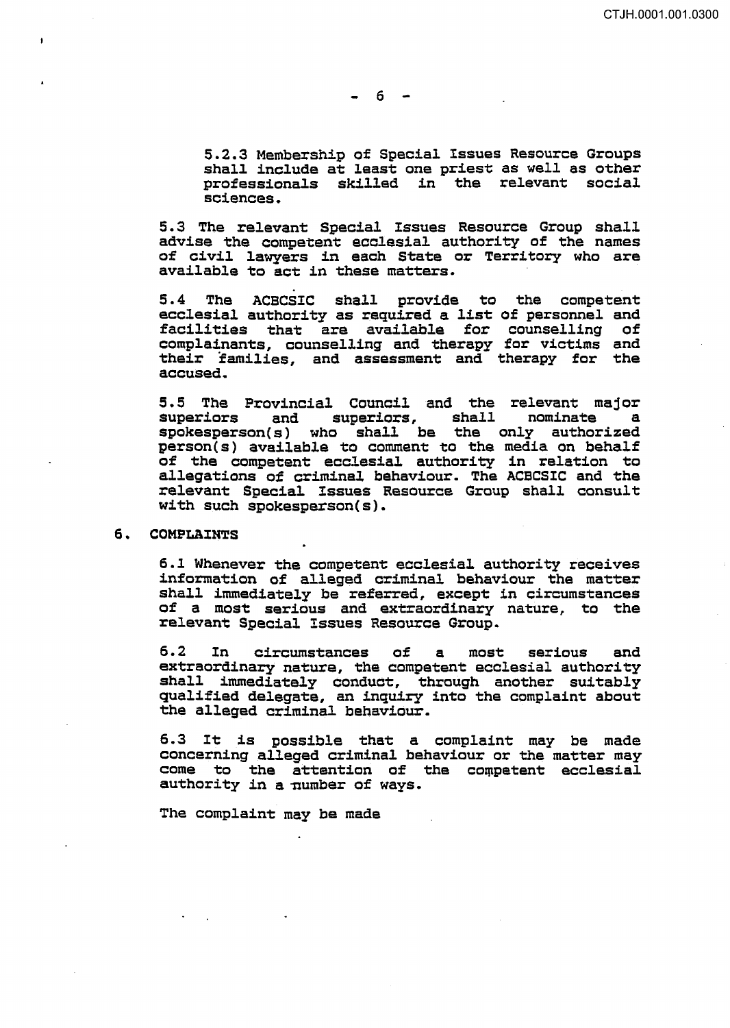$-6 -$ 

5.2.3 Membership of Special Issues Resource Groups shall include at least one priest as well as other professionals skilled in the relevant social sciences.

5. 3 The relevant Special Issues Resource Group shall advise the competent ecclesial. authority of the names of civil lawyers in each State or Territory who are available to act in these matters.

5.4 The ACBCSIC shall provide to the competent ecclesial authority as required a list of personnel and facilities that are available for counselling of complainants, counselling and therapy for victims and their families, and assessment and therapy for the accused.

5.5 The Provincial Council and the relevant major superiors and superiors, shall nominate a spokesperson(s) who shall be the only authorized person(s) available to comment to the media on behalf of the competent ecclesial authority in relation to allegations of criminal behaviour. The ACECSIC and the relevant Special Issues Resource Group shall consult with such spokesperson(s).

#### 6. COMPLAINTS

6.1 Whenever the competent ecclesial authority receives information of alleged criminal behaviour the matter shall immediately be referred, except in circumstances of a most serious and extraordinary nature, to the relevant Special Issues Resource Group.

6.2 In circumstances of a most serious and extraordinary nature, the competent ecclesial authority shall immediately conduct, through another suitably qualified delegate, an inquiry into the complaint about the alleged criminal behaviour.

6.3 It is possible that a complaint may be made concerning alleged criminal behaviour or the matter may  $come$  to the attention of the competent ecclesial authority in a number of ways.

The complaint may be made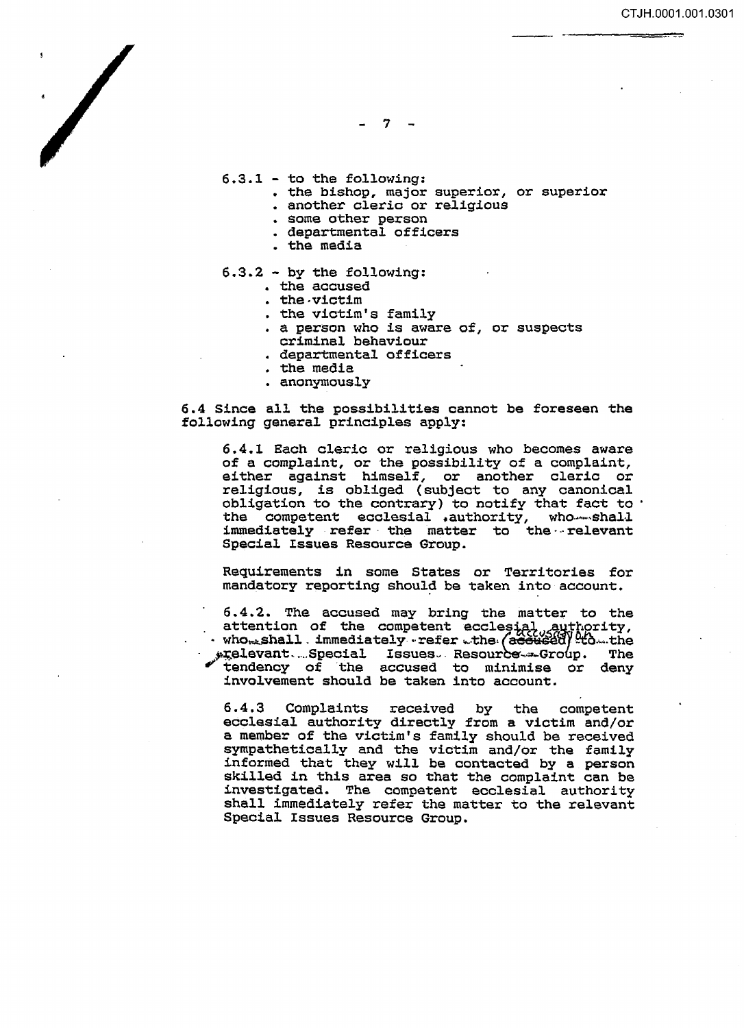$7 -$ 

6.3.1 - to the following:

- the bishop, major superior, or superior
- another cleric or religious
- some other person
- departmental officers
- the media
- 6.3.2 by the following:
	- the accused
	- the-victim
	- the victim's family
	- a person who is aware of, or suspects criminal behaviour
	- departmental officers
	- the media
	- anonymously

6.4 Since all the possibilities cannot be foreseen the following general principles apply:

6.4.1 Each cleric or religious who becomes aware of a complaint, or the possibility of a complaint, either against himself, or another cleric or religious, is obliged (subject to any canonical obligation to the contrary) to notify that fact to the competent ecclesial .authority, who shall immediately refer the matter to the relevant Special Issues Resource Group.

Requirements in some States or Territories for mandatory reporting should be taken into account.

6. 4. 2. The accused may bring the matter to the attention of the competent ecclesial authority,<br>· who...shall immediately. refer ..the (accused) to the<br>\*relevant....Special Issues. Resource...Group. The ~;.elevant ..... Special Issues ... Resour'be-... ~ .. Gro p. The ' tendency of the accused to minimise or deny involvement should be taken into account.

6.4.3 Complaints received by the competent ecclesial authority directly from a victim and/or a member of the victim's family should be received sympathetically and the victim and/or the family informed that they will be contacted by a person skilled in this area so that the complaint can be investigated. The competent ecclesial authority shall immediately refer the matter to the relevant Special Issues Resource Group.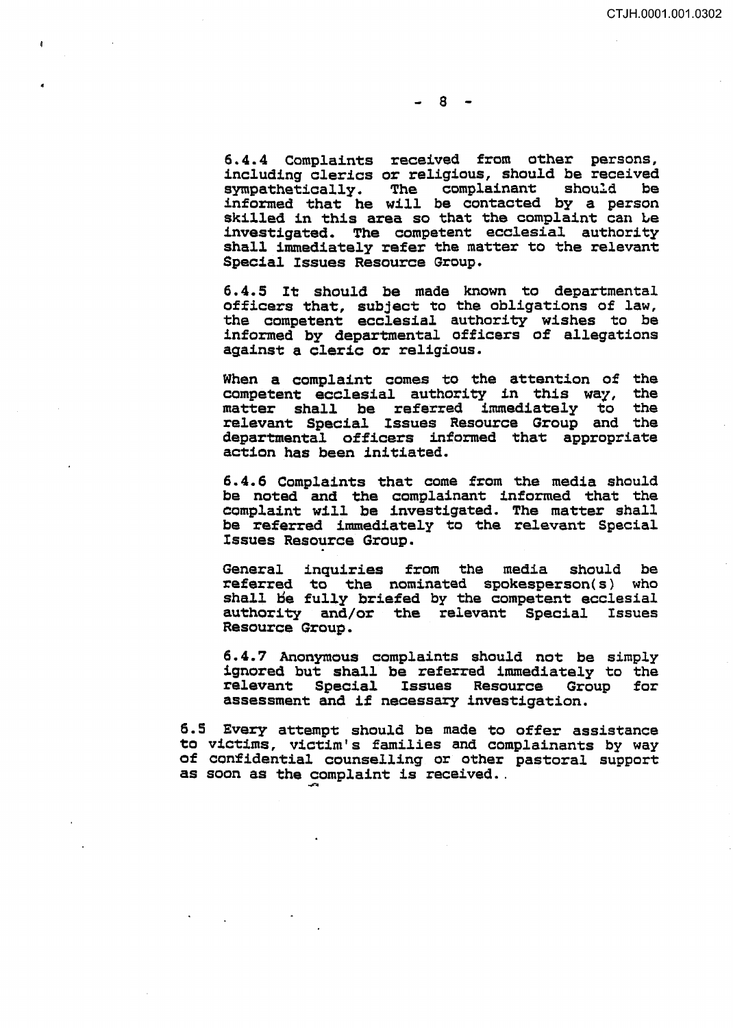6.4.4 Complaints received from other persons, including clerics or religious, should be received<br>sympathetically. The complainant should be The complainant informed that he will be contacted by a person skilled in this area so that the complaint can Le investigated. The competent ecclesial authority shall immediately refer the matter to the relevant Special Issues Resource Group.

6.4.5 It should be made known to departmental officers that, subject to the obligations of law, the competent ecclesial authority wishes to be informed by departmental officers of allegations against a cleric or religious.

When a complaint comes to the attention of the competent ecclesial authority in this way, the competent ecclesial authority in this way, the<br>matter shall be referred immediately to the matter shall be referred immediately to relevant Special Issues Resource Group and the departmental officers informed that appropriate action has been initiated.

6. 4. 6 Complaints that come from the media should be noted and the complainant informed that the complaint will be investigated. The matter shall be referred immediately to the relevant Special Issues Resource Group.

General inquiries from the media should be referred to the nominated spokesperson(s) who shall be fully briefed by the competent ecclesial authority and/or the relevant Special Issues authority and/or the relevant Special Resource Group.

6. 4. 7 Anonymous complaints should not be simply ignored but shall be referred immediately to the<br>relevant Special Issues Resource Group for relevant Special Issues Resource assessment and if necessary investigation.

6. 5 Every attempt should be made to offer assistance to victims, victim's families and complainants by way of confidential counselling or other pastoral support as soon as the complaint is received...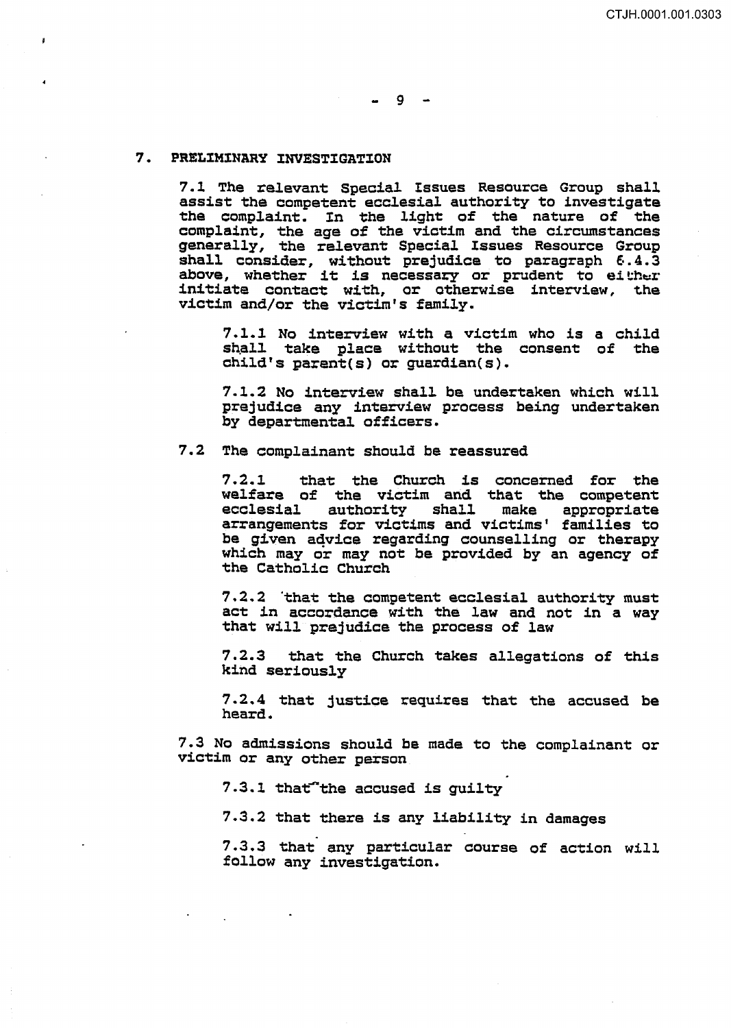# $-9 -$

#### 7. PRELIMINARY INVESTIGATION

7.1 The relevant Special Issues Resource Group shall assist the competent ecclesial authority to investigate the complaint. In the light of the nature of the complaint, the age of the victim and the circumstances generally, the relevant Special Issues Resource Group shall consider, without prejudice to paragraph 6.4.3<br>above, whether it is necessary or prudent to either initiate contact with, or otherwise interview, the victim and/or the victim's family.

7 .1.1 No interview with a victim who is a child shall take place without the consent of the child's parent(s) or guardian(s).

7.1.2 No interview shall be undertaken which will prejudice any interview process being undertaken by departmental officers.

# 7.2 The complainant should be reassured

7.2.1 that the Church is concerned for the welfare of the victim and that the competent ecclesial authority shall make appropriate ecclesial authority shall make appropriate<br>arrangements for victims and victims' families to be given advice regarding counselling or therapy which may or *may* not be provided by an agency of the Catholic Church

7.2.2 'that the competent ecclesial authority must act in accordance with the law and not in a way that will prejudice the process of law

7. 2. 3 that the Church takes allegations of this kind seriously

7 .2.4 that justice requires that the accused be heard.

7.3 No admissions should be made to the complainant or victim or any other person

7.3.1 that"the accused is quilty

7.3.2 that there is any liability in damages

7 .3.3 that any particular course of action will follow any investigation.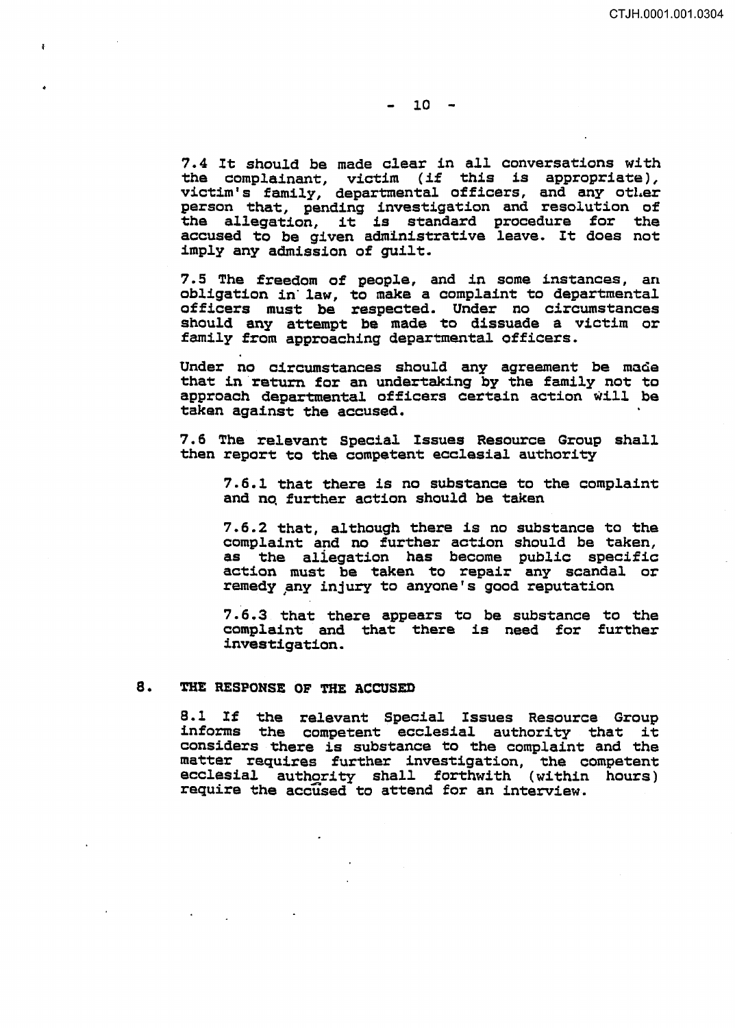7.4 It should be made clear in a11 conversations with the complainant, victim (if this is appropriate), victim's family, departmental officers, and any other person that, pending investigation and resolution of the allegation, it is standard procedure for the the allegation, it is standard procedure for the accused to be given administrative leave. It does not imply any admission of guilt.

7. 5 The freedom of people, and in some instances, an obligation in· law, to make a complaint to departmental officers must be respected. Under no circumstances should any attempt be made to dissuade a victim or family from approaching departmental officers.

Under no circumstances should any agreement be made that in return for an undertaking by the family not to approach departmental officers certain action will be taken against the accused.

7. 6 The relevant Special Issues Resource Group shall then report to the competent ecclesial authority

7.6.1 that there is no substance to the complaint and no, further action should be taken

7.6.2 that, although there is no substance to the complaint and no further action should be taken, as the aliegation has become public specific action must be taken to repair any scandal or remedy any injury to anyone's good reputation

7. 6. *3* that there appears to be substance to the complaint and that there is need for further investigation.

## 8. THE RESPONSE OF THE ACCUSED

8.1 If the relevant Special Issues Resource Group informs the competent ecclesial authority that it ensume the competent economical authority that it matter requires further investigation, the competent ecclesial authority shall forthwith (within hours) require the accused to attend for an interview.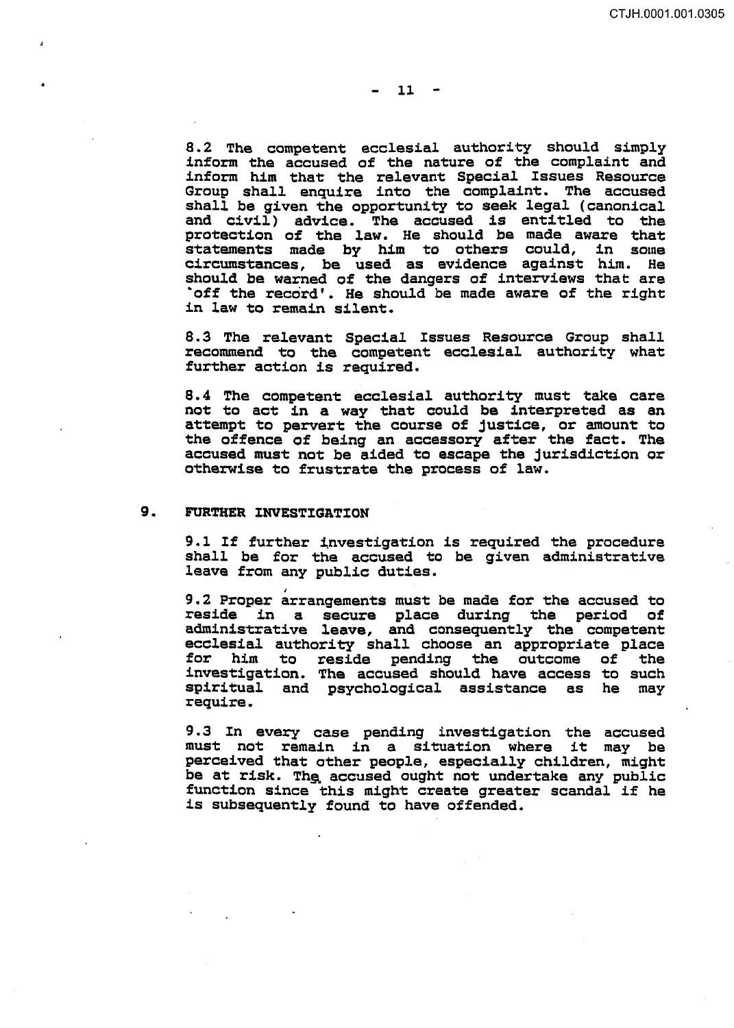8.2 The competent ecclesial authority should simply inform the accused of the nature of the complaint and inform him that the relevant Special Issues Resource Group *shall* enquire into the complaint. The accused shall be given the opportunity to seek legal (canonical and civil) advice. The accused is entitled to the protection of the law. He should be made aware that statements made by him to others could, in some circumstances, be used as evidence against him. should be warned of the dangers of interviews that are -off the record'. He should be made aware of the right in law to remain silent.

8. 3 The relevant Special Issues Resource Group shall recommend to the competent ecclesial authority what further action is required.

8. 4 The competent ecclesial authority must take care not to act in a way that could be interpreted as an attempt to pervert the course of justice, or amount to the offence of being an accessory after the fact. The accused must not be aided to escape the jurisdiction or otherwise to frustrate the process of law.

#### 9. FURTHER INVESTIGATION

9.1 If further investigation is required the procedure shall be for the accused to be given administrative leave from any public duties.

9.2 Proper arrangements must be made for the accused to<br>reside in a secure place during the period of reside in a secure place during the period administrative leave, and consequently the competent ecclesial authority shall choose an appropriate place for him to reside pending the outcome of the investigation. The accused should have access to such spiritual and psychological assistance as he may require.

9. *3* In every case pending investigation the accused must not remain in a situation where it may be perceived that other people, especially children, might be at risk. The accused ought not undertake any public function since this might create greater scandal if he is subsequently found to have offended.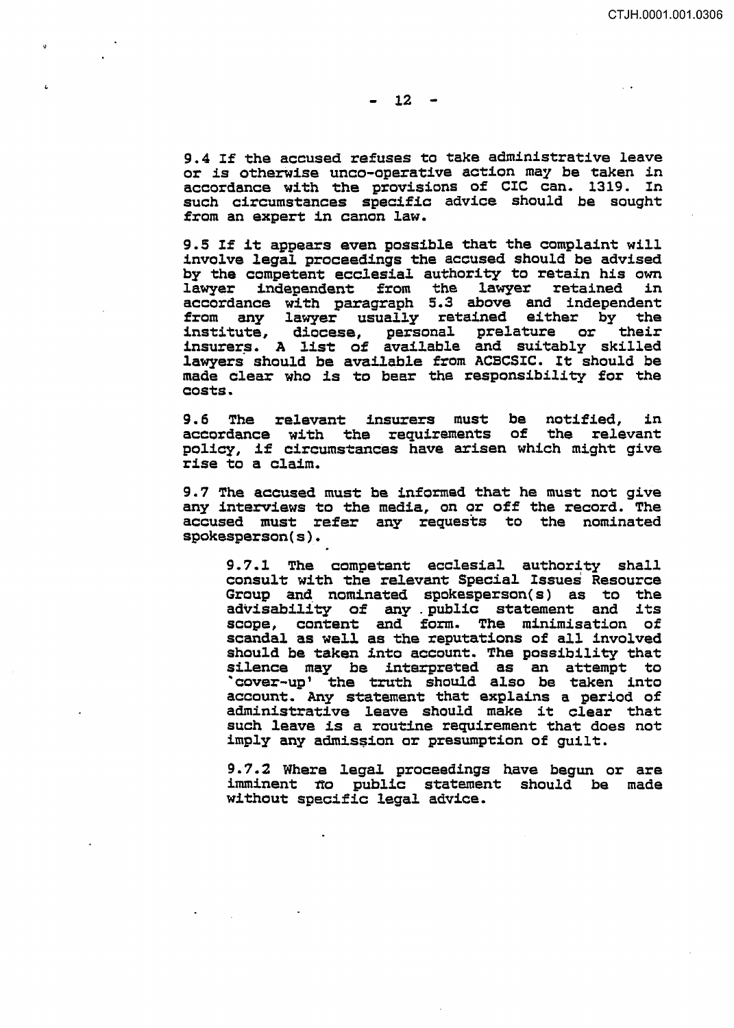9.4 If the accused refuses to take administrative leave or is otherwise unco-operative action may be taken in accordance with the provisions of CIC can. 1319. In such circumstances specific advice should be sought from an expert in canon law.

9.5 If it appears even possible that the complaint will involve legal proceedings the accused should be advised by the competent ecclesial authority to retain his own<br>lawyer independent from the lawyer retained in lawyer independent from the lawyer retained accordance with paragraph 5.3 above and independent from any lawyer usually retained either by the institute, diocese, personal prelature or their insurers. A list of available and suitably skilled lawyers should be available from ACBCSIC. It should be made clear who is to bear the responsibility for the costs ..

9.6 The relevant insurers must be notified, in accordance with the requirements of the relevant accordance with the requirements of policy, if circumstances have arisen which might give rise to a claim.

9.7 The accused must be informed that he must not give any interviews to the media, on or off the record. The accused must refer any requests to the nominated spokesperson(s).

9.7.1 The competent ecclesial authority shall consult with the relevant Special Issues Resource Group and. nominated spokesperson( s) as to the advisability of any . public statement and its scope, content and form. The minimisation of scandal as well as the reputations of all involved should be taken into account. The possibility that silence may be interpreted as an attempt to "cover-up' the truth should also be taken into account. Any statement that explains a period of administrative leave should make it clear that such leave is a routine requirement that does not imply any admission or presumption of guilt.

9. 7. 2 Where legal proceedings have begun or are imminent <del>no public statement should be made</del> without specific legal advice.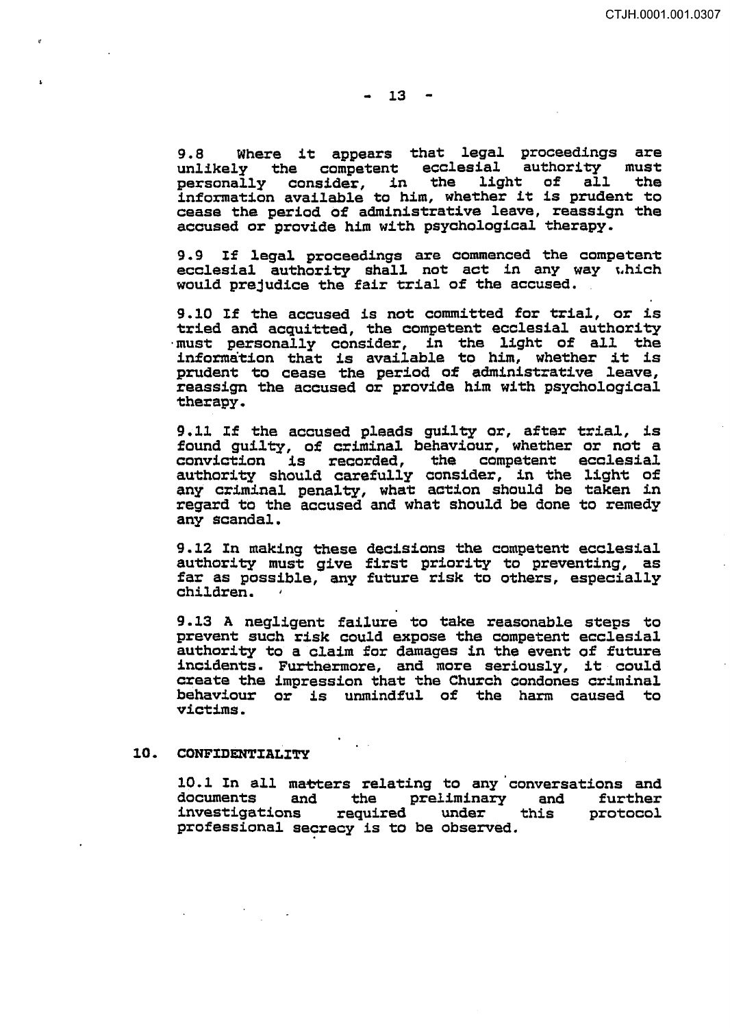9.8 Where it appears that legal proceedings are unlikely the competent ecclesial authority must unificity the Competent ecclesial disnosity must information available to him, whether it is prudent to cease the period of administrative leave, reassign the accused or provide him with psychological therapy.

9.9 If legal proceedings are commenced the competent ecclesial authority shall not act in any way which would prejudice the fair trial of the accused.

9.10 If the accused is not committed for trial, or is tried and acquitted, the competent ecclesial authority must personally consider, in the light of all the information that is available to him, whether it is prudent to cease the period of administrative leave, reassign the accused or provide him with psychological therapy.

9.11 If the accused pleads guilty or, after trial, is found guilty, of criminal behaviour, whether or not a conviction is recorded, the competent ecclesial authority should carefully consider, in the light of any criminal penalty, what action should be taken in regard to the accused and what should be done to remedy any scandal.

9.12 In making these decisions the competent ecclesial authority must give first priority to preventing, as far as possible, any future risk to others, especially children.

9 .13 A negligent failure to take reasonable steps to prevent such risk could expose the competent ecclesial authority to a claim for damages in the event of future incidents. Furthermore, and more seriously, it could create the impression that the Church condones criminal behaviour or is unmindful of the harm caused to victims.

#### 10. CONFIDENTIALITY

10.1 In all matters relating to any conversations and documents and the preliminary and further investigations required under this protocol professional secrecy is to be observed.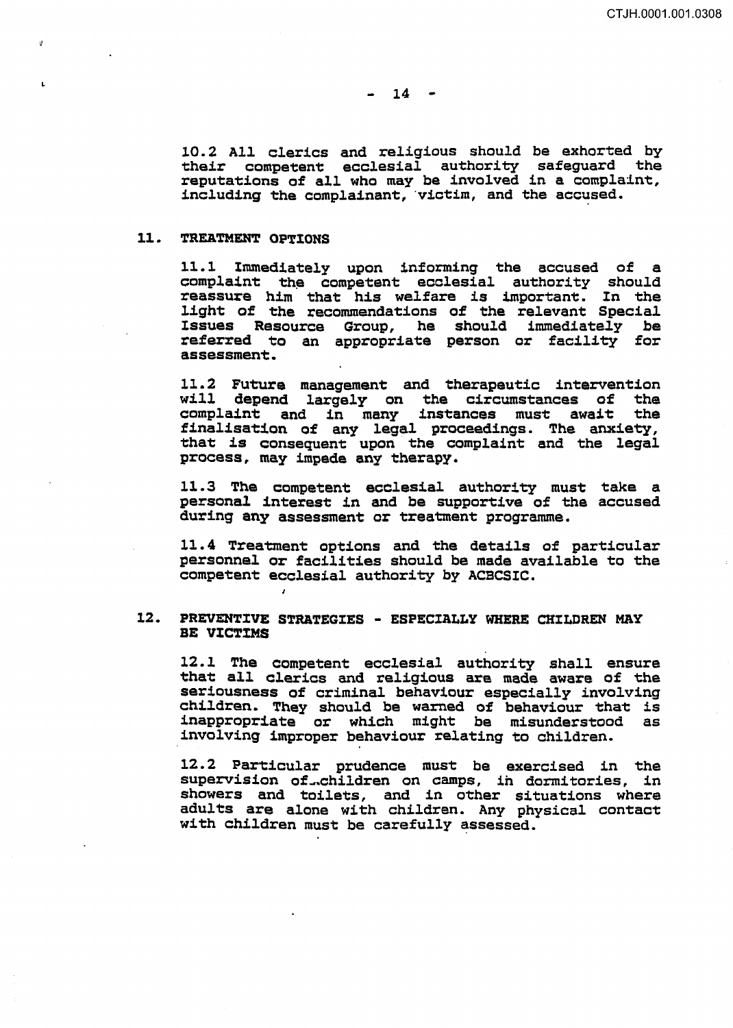10. 2 All clerics and religious should be exhorted by their competent ecclesial authority safeguard the reputations of all who may be involved in a complaint, including the complainant, victim, and the accused.

#### 11. TREATMENT OPTIONS

11.1 Immediately upon informing the accused of a complaint the competent ecclesial authority should reassure him that his welfare is important. In the light of the recommendations of the relevant Special Issues Resource Group, he should immediately be referred to an appropriate person or facility for assessment.

11.2 Future management and therapeutic intervention will depend largely on the circumstances of the<br>complaint and in many instances must await the complaint and in many instances must await finalisation of any legal proceedings. The anxiety, that is consequent upon the complaint and the legal process, may impede any therapy.

11.3 The competent ecclesial authority must take a personal interest in and be supportive of the accused during any assessment or treatment programme.

11. 4 Treatment options and the details of particular personnel or facilities should be made available to the competent ecclesial authority by ACBCSIC.

### 12. PREVENTIVE STRATEGIES - ESPECIALLY WHERE CHILDREN MAY BE VICTIMS

12.1 The competent ecclesial authority shall ensure that all clerics and religious are made aware of the seriousness of criminal behaviour especially involving children. They should be warned of behaviour that is inappropriate or which might be misunderstood as involving improper behaviour relating to children.

12.2 Particular prudence must be exercised in the supervision of ...children on camps, in dormitories, in showers and toilets, and in other situations where adults are alone with children. Any physical contact with children must be carefully assessed.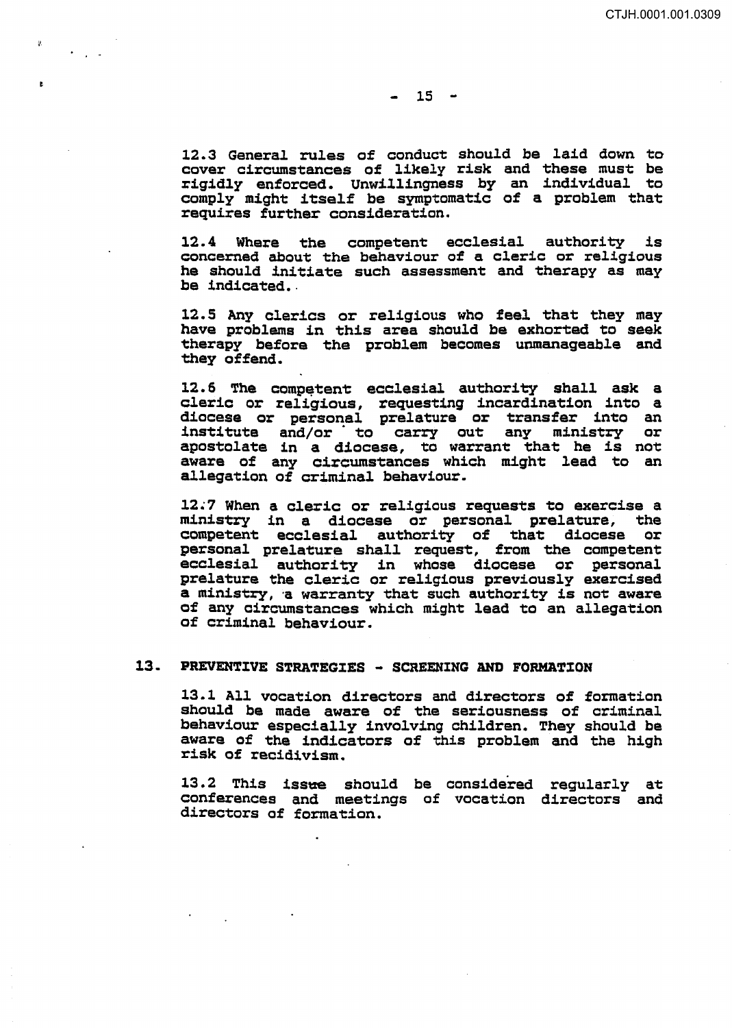$\mathbf{r}$ 

12.3 General rules of conduct should be laid down to cover circumstances of likely risk and these must be rigidly enforced. Unwillingness by an individual to comply might itself be symptomatic of a problem that requires further consideration.

12. 4 Where the competent ecclesial authority is concerned about the behaviour of a cleric or religious he should initiate such assessment and therapy as may be indicated.

12.5 Any clerics or religious who feel that they may have problems in this area should be exhorted to seek therapy before the problem becomes unmanageable and they offend.

12.6 The competent ecclesial authority shall ask a cleric or religious, requesting incardination into a diocese or personal prelature or transfer into an institute and/or · to carry out any ministry or apostolate in a diocese, to warrant that he is not aware of any circumstances which might lead to an allegation of criminal behaviour.

12.7 When a cleric or religious requests to exercise a ministry in a diocese or personal prelature, the competent ecclesial authority of that diocese or personal prelature shall request, from the competent ecclesial authority in whose diocese or personal prelature the cleric or religious previously exercised a ministry, a warranty that such authority is not aware of any circumstances which might lead to an allegation of criminal behaviour.

## 13. PREVENTIVE STRATEGIES - SCREENING AND FORMATION

13.1 All vocation directors and directors of formation should be made aware of the seriousness of criminal behaviour especially involving children. They should be aware of the indicators of this problem and the high risk of recidivism.

13.2 This issue should be considered regularly at conferences and meetings of vocation directors and directors of formation.